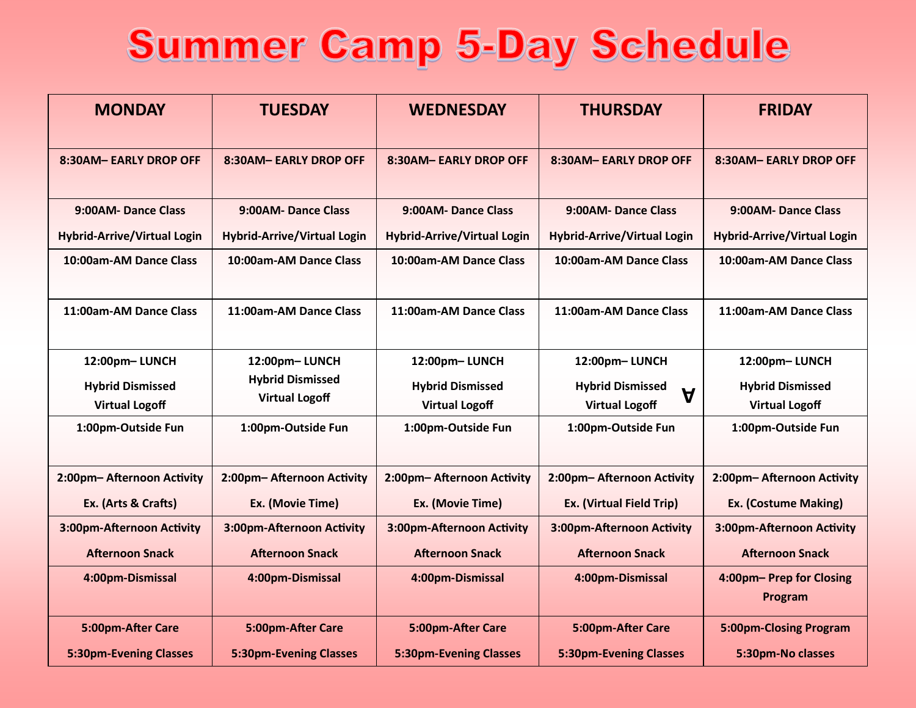## Summer Camp 5-Day Schedule

| <b>MONDAY</b>                                    | <b>TUESDAY</b>                                   | <b>WEDNESDAY</b>                                 | <b>THURSDAY</b>                                                 | <b>FRIDAY</b>                                    |
|--------------------------------------------------|--------------------------------------------------|--------------------------------------------------|-----------------------------------------------------------------|--------------------------------------------------|
| 8:30AM-EARLY DROP OFF                            | 8:30AM-EARLY DROP OFF                            | 8:30AM-EARLY DROP OFF                            | 8:30AM-EARLY DROP OFF                                           | 8:30AM- EARLY DROP OFF                           |
| 9:00AM-Dance Class                               | 9:00AM-Dance Class                               | 9:00AM-Dance Class                               | 9:00AM-Dance Class                                              | 9:00AM-Dance Class                               |
| <b>Hybrid-Arrive/Virtual Login</b>               | <b>Hybrid-Arrive/Virtual Login</b>               | <b>Hybrid-Arrive/Virtual Login</b>               | <b>Hybrid-Arrive/Virtual Login</b>                              | <b>Hybrid-Arrive/Virtual Login</b>               |
| 10:00am-AM Dance Class                           | 10:00am-AM Dance Class                           | 10:00am-AM Dance Class                           | 10:00am-AM Dance Class                                          | 10:00am-AM Dance Class                           |
| 11:00am-AM Dance Class                           | 11:00am-AM Dance Class                           | 11:00am-AM Dance Class                           | 11:00am-AM Dance Class                                          | 11:00am-AM Dance Class                           |
| 12:00pm-LUNCH                                    | 12:00pm-LUNCH                                    | 12:00pm-LUNCH                                    | 12:00pm-LUNCH                                                   | 12:00pm-LUNCH                                    |
| <b>Hybrid Dismissed</b><br><b>Virtual Logoff</b> | <b>Hybrid Dismissed</b><br><b>Virtual Logoff</b> | <b>Hybrid Dismissed</b><br><b>Virtual Logoff</b> | <b>Hybrid Dismissed</b><br>$\mathbf A$<br><b>Virtual Logoff</b> | <b>Hybrid Dismissed</b><br><b>Virtual Logoff</b> |
| 1:00pm-Outside Fun                               | 1:00pm-Outside Fun                               | 1:00pm-Outside Fun                               | 1:00pm-Outside Fun                                              | 1:00pm-Outside Fun                               |
| 2:00pm-Afternoon Activity                        | 2:00pm-Afternoon Activity                        | 2:00pm-Afternoon Activity                        | 2:00pm-Afternoon Activity                                       | 2:00pm-Afternoon Activity                        |
| Ex. (Arts & Crafts)                              | Ex. (Movie Time)                                 | Ex. (Movie Time)                                 | Ex. (Virtual Field Trip)                                        | <b>Ex. (Costume Making)</b>                      |
| 3:00pm-Afternoon Activity                        | 3:00pm-Afternoon Activity                        | 3:00pm-Afternoon Activity                        | 3:00pm-Afternoon Activity                                       | 3:00pm-Afternoon Activity                        |
| <b>Afternoon Snack</b>                           | <b>Afternoon Snack</b>                           | <b>Afternoon Snack</b>                           | <b>Afternoon Snack</b>                                          | <b>Afternoon Snack</b>                           |
| 4:00pm-Dismissal                                 | 4:00pm-Dismissal                                 | 4:00pm-Dismissal                                 | 4:00pm-Dismissal                                                | 4:00pm- Prep for Closing<br>Program              |
| 5:00pm-After Care                                | 5:00pm-After Care                                | 5:00pm-After Care                                | 5:00pm-After Care                                               | 5:00pm-Closing Program                           |
| <b>5:30pm-Evening Classes</b>                    | <b>5:30pm-Evening Classes</b>                    | <b>5:30pm-Evening Classes</b>                    | <b>5:30pm-Evening Classes</b>                                   | 5:30pm-No classes                                |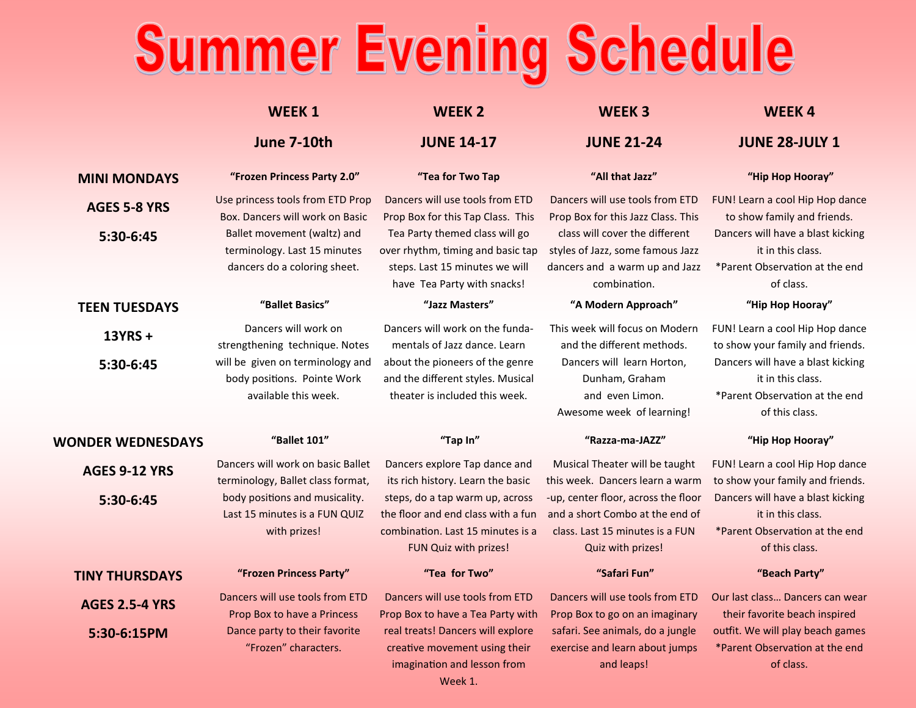## Summer Evening Schedule

|                          | <b>WEEK1</b>                                                                                | <b>WEEK 2</b>                                                                                                                        | <b>WEEK3</b>                                                                                                                   | <b>WEEK4</b>                                                                                               |
|--------------------------|---------------------------------------------------------------------------------------------|--------------------------------------------------------------------------------------------------------------------------------------|--------------------------------------------------------------------------------------------------------------------------------|------------------------------------------------------------------------------------------------------------|
|                          | June 7-10th                                                                                 | <b>JUNE 14-17</b>                                                                                                                    | <b>JUNE 21-24</b>                                                                                                              | <b>JUNE 28-JULY 1</b>                                                                                      |
| <b>MINI MONDAYS</b>      | "Frozen Princess Party 2.0"                                                                 | "Tea for Two Tap                                                                                                                     | "All that Jazz"                                                                                                                | "Hip Hop Hooray"                                                                                           |
| <b>AGES 5-8 YRS</b>      | Use princess tools from ETD Prop<br>Box. Dancers will work on Basic                         | Dancers will use tools from ETD<br>Prop Box for this Tap Class. This                                                                 | Dancers will use tools from ETD<br>Prop Box for this Jazz Class. This                                                          | FUN! Learn a cool Hip Hop dance<br>to show family and friends.                                             |
| 5:30-6:45                | Ballet movement (waltz) and<br>terminology. Last 15 minutes<br>dancers do a coloring sheet. | Tea Party themed class will go<br>over rhythm, timing and basic tap<br>steps. Last 15 minutes we will<br>have Tea Party with snacks! | class will cover the different<br>styles of Jazz, some famous Jazz<br>dancers and a warm up and Jazz<br>combination.           | Dancers will have a blast kicking<br>it in this class.<br>*Parent Observation at the end<br>of class.      |
| <b>TEEN TUESDAYS</b>     | "Ballet Basics"                                                                             | "Jazz Masters"                                                                                                                       | "A Modern Approach"                                                                                                            | "Hip Hop Hooray"                                                                                           |
| 13YRS +                  | Dancers will work on<br>strengthening technique. Notes                                      | Dancers will work on the funda-<br>mentals of Jazz dance. Learn                                                                      | This week will focus on Modern<br>and the different methods.                                                                   | FUN! Learn a cool Hip Hop dance<br>to show your family and friends.                                        |
| 5:30-6:45                | will be given on terminology and<br>body positions. Pointe Work<br>available this week.     | about the pioneers of the genre<br>and the different styles. Musical<br>theater is included this week.                               | Dancers will learn Horton,<br>Dunham, Graham<br>and even Limon.<br>Awesome week of learning!                                   | Dancers will have a blast kicking<br>it in this class.<br>*Parent Observation at the end<br>of this class. |
| <b>WONDER WEDNESDAYS</b> | "Ballet 101"                                                                                | "Tap In"                                                                                                                             | "Razza-ma-JAZZ"                                                                                                                | "Hip Hop Hooray"                                                                                           |
| <b>AGES 9-12 YRS</b>     | Dancers will work on basic Ballet<br>terminology, Ballet class format,                      | Dancers explore Tap dance and<br>its rich history. Learn the basic                                                                   | Musical Theater will be taught<br>this week. Dancers learn a warm                                                              | FUN! Learn a cool Hip Hop dance<br>to show your family and friends.                                        |
| 5:30-6:45                | body positions and musicality.<br>Last 15 minutes is a FUN QUIZ<br>with prizes!             | steps, do a tap warm up, across<br>the floor and end class with a fun<br>combination. Last 15 minutes is a<br>FUN Quiz with prizes!  | -up, center floor, across the floor<br>and a short Combo at the end of<br>class. Last 15 minutes is a FUN<br>Quiz with prizes! | Dancers will have a blast kicking<br>it in this class.<br>*Parent Observation at the end<br>of this class. |
| <b>TINY THURSDAYS</b>    | "Frozen Princess Party"                                                                     | "Tea for Two"                                                                                                                        | "Safari Fun"                                                                                                                   | "Beach Party"                                                                                              |
| <b>AGES 2.5-4 YRS</b>    | Dancers will use tools from ETD<br>Prop Box to have a Princess                              | Dancers will use tools from ETD<br>Prop Box to have a Tea Party with                                                                 | Dancers will use tools from ETD<br>Prop Box to go on an imaginary                                                              | Our last class Dancers can wear<br>their favorite beach inspired                                           |
| 5:30-6:15PM              | Dance party to their favorite<br>"Frozen" characters.                                       | real treats! Dancers will explore<br>creative movement using their<br>imagination and lesson from                                    | safari. See animals, do a jungle<br>exercise and learn about jumps<br>and leaps!                                               | outfit. We will play beach games<br>*Parent Observation at the end<br>of class.                            |

Week 1.